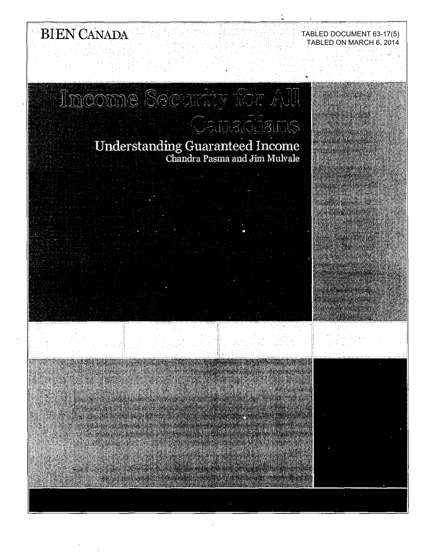# BIEN CANADA

# TABLED DOCUMENT 63-17(5) TABLED ON MARCH 6, 2014

# Income Security for All Canaddans

# Understanding Guaranteed Income<br>Chandra Pasma and Jim Mulvale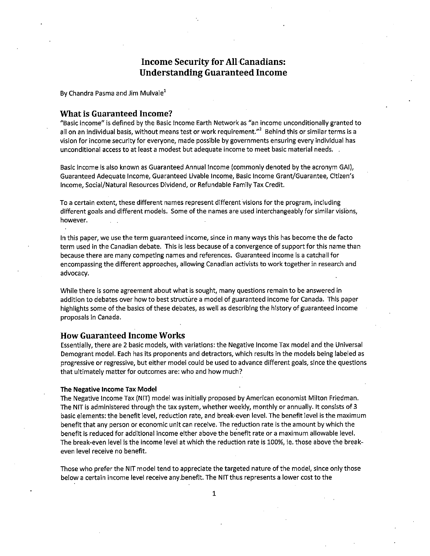# **Income Security for All Canadians: Understanding Guaranteed Income**

By Chandra Pasma and Jim Mulvale<sup>1</sup>

### **What is Guaranteed Income?**

"Basic income" is defined by the Basic Income Earth Network as "an income unconditionally granted to all on an individual basis, without means test or work requirement."<sup>2</sup> Behind this or similar terms is a vision for income security for everyone, made possible by governments ensuring every individual has unconditional access to at least a modest but adequate income to meet basic material needs. .

Basic income is also known as Guaranteed Annual Income (commonly denoted by the acronym GAI), Guaranteed Adequate Income, Guaranteed Livable Income, Basic Income Grant/Guarantee, Citizen's Income, Social/Natural Resources Dividend, or Refundable Family Tax Credit.

To a certain extent, these different names represent different visions for the program, including different goals and different models. Some of the names are used interchangeably for similar visions, however.

In this paper, we use the term guaranteed income, since in many ways this has become the de facto term used in the Canadian debate. This is less because of a convergence of support for this name than because there are many competing names and references. Guaranteed income is a catchall for encompassing the different approaches, allowing Canadian activists to work together in research and advocacy.

While there is some agreement about what is sought, many questions remain to be answered in addition to debates over how to best structure a model of guaranteed income for Canada. This paper highlights some of the basics of these debates, as well as describing the history of guaranteed income proposals in Canada.

## **How Guaranteed Income Works**

Essentially, there are 2 basic models, with variations: the Negative Income Tax model and the Universal Demogrant model. Each has its proponents and detractors, which results in the models being labeled as progressive or regressive, but either model could be used to advance different goals, since the questions that ultimately matter for outcomes are: who and how much?

#### **The Negative Income Tax Model**

The Negative Income Tax (NIT) model was initially proposed by American economist Milton Friedman. The NIT is administered through the tax system, whether weekly, monthly or annually. It consists of 3 basic elements: the benefit level, reduction rate, and break-even level. The benefit level is the maximum benefit that any person or economic unit can receive. The reduction rate is the amount by which the benefit is reduced for additional income either above the benefit rate or a maximum allowable level. The break-even level is the income level at which the reduction rate is 100%, ie. those above the breakeven level receive no benefit.

Those who prefer the NIT model tend to appreciate the targeted nature of the model, since only those below a certain income level receive any.benefit. The NIT thus represents a lower cost to the

1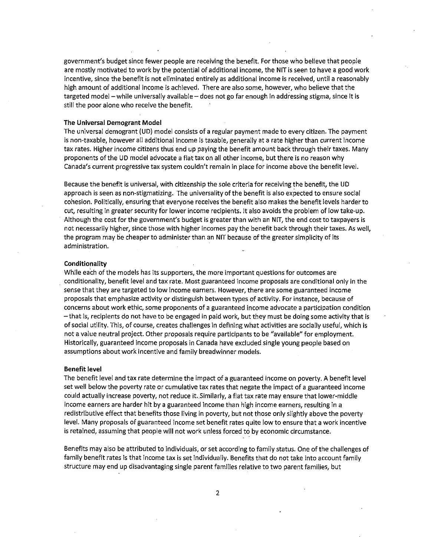government's budget since fewer people are receiving the benefit. For those who believe that people are mostly motivated to work by the potential of additional income, the NIT is seen to have a good work incentive, since the benefit is not eliminated entirely as additional income is received, until a reasonably high amount of additional income is achieved. There are also some, however, who believe that the targeted model - while universally available - does not go far enough in addressing stigma, since it is still the poor alone who receive the benefit.

#### The Universal Demogrant Model

The universal demogrant (UD) model consists of a regular payment made to every citizen. The payment is non-taxable, however all additional income is taxable, generally at a rate higher than current income tax rates. Higher income citizens thus end up paying the benefit amount back through their taxes. Many proponents of the UD model advocate a flat tax on all other income, but there is no reason why Canada's current progressive tax system couldn't remain in place for income above the benefit level.

Because the benefit is universal, with citizenship the sole criteria for receiving the benefit, the UD approach is seen as non-stigmatizing. The universality of the benefit is also expected to ensure social cohesion. Politically, ensuring that everyone receives the benefit also makes the benefit levels harder to cut, resulting in greater security for lower income recipients. It also avoids the problem of low take-up. Although the cost for the government's budget is greater than with an NIT, the end cost to taxpayers is not necessarily higher, since those with higher incomes pay the benefit back through their taxes. As well, the program may be cheaper to administer than an NIT because of the greater simplicity of its administration.

#### **Conditionality**

While each of the models has its supporters, the more important questions for outcomes are conditionality, benefit level and tax rate. Most guaranteed income proposals are conditional only in the sense that they are targeted to low income earners. However, there are some guaranteed income proposals that emphasize activity or distinguish between types of activity. For instance, because of concerns about work ethic, some proponents of a guaranteed income advocate a participation condition -that is, recipients do not have to be engaged in paid work, but they must be doing some activity that is of social utility. This, of course, creates challenges in defining what activities are socially useful, which is not a value neutral project. Other proposals require participants to be "available" for employment. Historically, guaranteed income proposals in Canada have excluded single young people based on assumptions about work incentive and family breadwinner models.

#### Benefit level

The benefit level and tax rate determine the impact of a guaranteed income on poverty. A benefit level set well below the poverty rate or cumulative tax rates that negate the impact of a guaranteed income could actually increase poverty, not reduce it .. Similarly, a flat tax rate may ensure that lower-middle income earners are harder hit by a guaranteed income than high income earners, resulting in a redistributive effect that benefits those living in poverty, but not those only slightly above the poverty level. Many proposals of guaranteed income set benefit rates quite low to ensure that a work incentive is retained, assuming that people will not work unless forced to by economic circumstance.

Benefits may also be attributed to individuals, or set according to family status. One of the challenges of family benefit rates is that income tax is set individually. Benefits that do not take into account family structure may end up disadvantaging single parent families relative to two parent families, but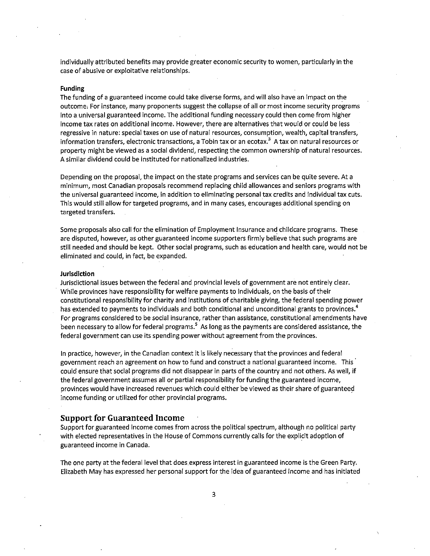individually attributed benefits may provide greater economic security to women, particularly in the case of abusive or exploitative relationships.

#### **Funding**

The funding of a guaranteed income could take diverse forms, and will also have an impact on the outcome, For instance, many proponents suggest the collapse of all or most income security programs into a universal guaranteed income. The additional funding necessary could then come from higher income tax rates on additional income. However, there are alternatives that would or could be less regressive in nature: special taxes on use of natural resources, consumption, wealth, capital transfers, information transfers, electronic transactions, a Tobin tax or an ecotax.<sup>3</sup> A tax on natural resources or property might be viewed as a social dividend, respecting the common ownership of natural resources. A similar dividend could be instituted for nationalized industries.

Depending on the proposal, the impact on the state programs and services can be quite severe. At a minimum, most Canadian proposals recommend replacing child allowances and seniors programs with the universal guaranteed income, in addition to eliminating personal tax credits and individual tax cuts. This would still allow for targeted programs, and in many cases, encourages additional spending on targeted transfers.

Some proposals also call for the elimination of Employment Insurance and childcare programs. These are disputed, however, as other guaranteed income supporters firmly believe that such programs are still needed and should be kept. Other social programs, such as education and health care, would not be eliminated and could, in fact, be expanded.

#### **Jurisdiction**

Jurisdictional issues between the federal and provincial levels of government are not entirely clear. While provinces have responsibility for welfare payments to individuals, on the basis of their constitutional responsibility for charity and institutions of charitable giving, the federal spending power has extended to payments to individuals and both conditional and unconditional grants to provinces.<sup>4</sup> For programs considered to be social insurance, rather than assistance, constitutional amendments have been necessary to allow for federal programs.<sup>5</sup> As long as the payments are considered assistance, the federal government can use its spending power without agreement from the provinces.

In practice, however, in the Canadian context it is likely necessary that the provinces and federal government reach an agreement on how to fund and construct a national guaranteed income. This could ensure that social programs did not disappear in parts of the country and not others. As well, if the federal government assumes all or partial responsibility for funding the guaranteed income, provinces would have increased revenues which could either be viewed as their share of guaranteed income funding or utilized for other provincial programs.

### **Support for Guaranteed Income**

Support for guaranteed income comes from across the political spectrum, although no political party with elected representatives in the House of Commons currently calls for the explicit adoption of guaranteed income in Canada.

The one party at the federal level that does express interest in guaranteed income is the Green Party. Elizabeth May has expressed her personal support for the idea of guaranteed income and has initiated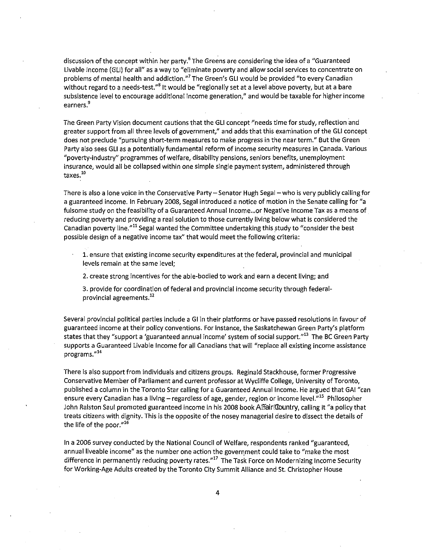discussion of the concept within her party.<sup>6</sup> The Greens are considering the idea of a "Guaranteed Livable Income (GLI) for all" as a way to "eliminate poverty and allow social services to concentrate on problems of mental health and addiction."<sup>7</sup> The Green's GLI would be provided "to every Canadian without regard to a needs-test."<sup>8</sup> It would be "regionally set at a level above poverty, but at a bare subsistence level to encourage additional income generation," and would be taxable for higher income **earners.<sup>9</sup>**

The Green Party Vision document cautions that the GLI concept "needs time for study, reflection and greater support from all three levels of government," and adds that this examination of the GLI concept does not preclude "pursuing short-term measures to make progress in the near term." But the Green Party also sees GLI as a potentially fundamental reform of income security measures in Canada. Various "poverty-industry" programmes of welfare, disability pensions, seniors benefits, unemployment insurance, would all be collapsed within one simple single payment system, administered through **taxes. <sup>10</sup>**

There is also a lone voice in the Conservative Party-Senator Hugh Segal-who is very publicly calling for a guaranteed income. In February 2008, Segal introduced a notice of motion in the Senate calling for "a fulsome study on the feasibility of a Guaranteed Annual Income... or Negative Income Tax as a means of reducing poverty and providing a real solution to those currently living below what is considered the Canadian poverty line."<sup>11</sup> Segal wanted the Committee undertaking this study to "consider the best possible design of a negative income tax" that would meet the following criteria:

1. ensure that existing income security expenditures at the federal, provincial and municipal levels remain at the same level;

2. create strong incentives for the able-bodied to work and earn a decent living; and

3. provide for coordination of federal and provincial income security through federalprovincial agreements.<sup>12</sup>

Several provincial political parties include a Gl in their platforms or have passed resolutions in favour of guaranteed income at their policy conventions. For instance, the Saskatchewan Green Party's platform states that they "support a 'guaranteed annual income' system of social support."<sup>13</sup> The BC Green Party supports a Guaranteed Livable Income for all Canadians that will "replace all existing income assistance **programs.<sup>1114</sup>**

There is also support from individuals and citizens groups. Reginald Stackhouse, former Progressive Conservative Member of Parliament and current professor at Wycliffe College, University of Toronto, published a column in the Toronto Star calling for a Guaranteed Annual Income. He argued that GAl "can ensure every Canadian has a living - regardless of age, gender, region or income level."<sup>15</sup> Philosopher John Ralston Saul promoted guaranteed income in his 2008 book AlFairl Country, calling it "a policy that treats citizens with dignity. This is the opposite of the nosey managerial desire to dissect the details of the life of the poor."<sup>16</sup>

In a 2006 survey conducted by the National Council of Welfare, respondents ranked "guaranteed, annual liveable income" as the number one action the government could take to "make the most difference in permanently reducing poverty rates."<sup>17</sup> The Task Force on Modernizing Income Security for Working-Age Adults created by the Toronto City Summit Alliance and St. Christopher House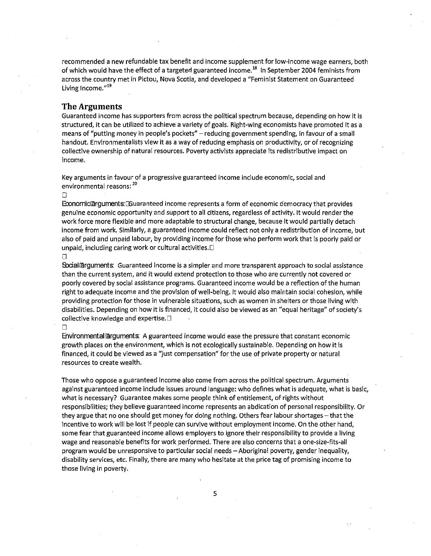recommended a new refundable tax benefit and income supplement for low-income wage earners, both of which would have the effect of a targeted guaranteed income.<sup>18</sup> In September 2004 feminists from across the country met in Pictou, Nova Scotia, and developed a "Feminist Statement on Guaranteed Living Income.<sup>"19</sup>

# **The Arguments**

Guaranteed income has supporters from across the political spectrum because, depending on how it is structured, it can be utilized to achieve a variety of goals. Right-wing economists have promoted it as a means of "putting money in people's pockets" - reducing government spending, in favour of a small handout. Environmentalists view it as a way of reducing emphasis on productivity, or of recognizing collective ownership of natural resources. Poverty activists appreciate its redistributive impact on **income.** 

Key arguments in favour of a progressive guaranteed income include economic, social and environmental reasons: <sup>20</sup>

 $\Box$ 

Economic arguments: Couaranteed income represents a form of economic democracy that provides genuine economic opportunity and support to all citizens, regardless of activity. It would render the work force more flexible and more adaptable to structural change, because it would partially detach income from work. Similarly, a guaranteed income could reflect not only a redistribution of income, but also of paid and unpaid labour, by providing income for those who perform work that is poorly paid or unpaid, including caring work or cultural activities.<sup>[]</sup>

 $\Box$ 

Socialiarguments: Guaranteed income is a simpler and more transparent approach to social assistance than the current system, and it would extend protection to those who are currently not covered or poorly covered by social assistance programs. Guaranteed income would be a reflection of the human right to adequate income and the provision of well-being. It would also maintain social cohesion, while providing protection for those in vulnerable situations, such as women in shelters or those living with disabilities. Depending on how it is financed, it could also be viewed as an "equal heritage" of society's collective knowledge and expertise.D

#### $\Box$

Environmentaliarguments: A guaranteed income would ease the pressure that constant economic growth places on the environment, which is not ecologically sustainable. Depending on how it is financed, it could be viewed as a "just compensation" for the use of private property or natural resources to create wealth.

Those who oppose a guaranteed income also come from across the political spectrum. Arguments against guaranteed income include issues around language: who defines what is adequate, what is basic, what is necessary? Guarantee makes some people think of entitlement, of rights without responsibilities; they believe guaranteed income represents an abdication of personal responsibility. Or they argue that no one should get money for doing nothing. Others fear labour shortages- that the incentive to work will be lost if people can survive without employment income. On the other hand, some fear that guaranteed income allows employers to ignore their responsibility to provide a living wage and reasonable benefits for work performed. There are also concerns that a one-size-fits-all program would be unresponsive to particular social needs- Aboriginal poverty, gender inequality, disability services, etc. Finally, there are many who hesitate at the price tag of promising income to those living in poverty.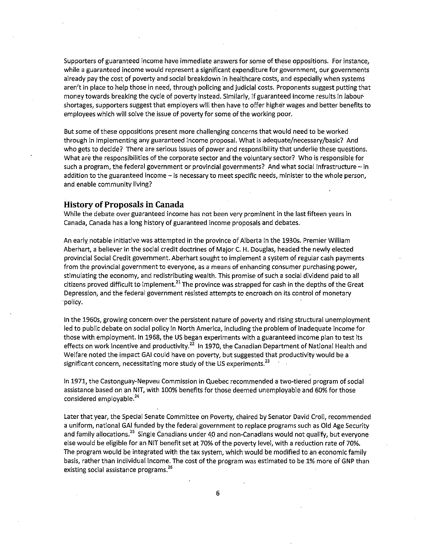Supporters of guaranteed income have immediate answers for some of these oppositions. For instance, while a guaranteed income would represent a significant expenditure for government, our governments already pay the cost of poverty and social breakdown in healthcare costs, and especially when systems aren't in place to help those in need, through policing and judicial costs. Proponents suggest putting that money towards breaking the cycle of poverty instead. Similarly, if guaranteed income results in labour· shortages, supporters suggest that employers will then have to offer higher wages and better benefits to employees which will solve the issue of poverty for some of the working poor.

But some of these oppositions present more challenging concerns that would need to be worked through in implementing any guaranteed income proposal. What is adequate/necessary/basic? And who gets to decide? There are serious issues of power and responsibility that underlie these questions. What are the responsibilities of the corporate sector and the voluntary sector? Who is responsible for such a program, the federal government or provincial governments? And what social infrastructure - in addition to the guaranteed income - is necessary to meet specific needs, minister to the whole person, and enable community living?

# **History of Proposals in Canada**

While the debate over guaranteed income has not been very prominent in the last fifteen years in Canada, Canada has a long history of guaranteed income proposals and debates.

An early notable initiative was attempted in the province of Alberta in the 1930s. Premier William Aberhart, a believer in the social credit doctrines of Major C. H. Douglas, headed the newly elected provincial Social Credit government. Aberhart sought to implement a system of regular cash payments from the provincial government to everyone, as a means of enhancing consumer purchasing power, stimulating the economy, and redistributing wealth. This promise of such a social dividend paid to all citizens proved difficult to implement.<sup>21</sup> The province was strapped for cash in the depths of the Great Depression, and the federal government resisted attempts to encroach on its control of monetary policy.

In the 1960s, growing concern over the persistent nature of poverty and rising structural unemployment led to public debate on social policy in North America, including the problem of inadequate income for those with employment. In 1968, the US began experiments with a guaranteed income plan to test its effects on work incentive and productivity.<sup>22</sup> In 1970, the Canadian Department of National Health and Welfare noted the impact GAl could have on poverty, but suggested that productivity would be a significant concern, necessitating more study of the US experiments.<sup>23</sup>

In 1971, the Castonguay-Nepveu Commission in Quebec recommended a two-tiered program of social assistance based on an NIT, with 100% benefits for those deemed unemployable and 60% for those considered employable.<sup>24</sup>

Later that year, the Special Senate Committee on Poverty, chaired by Senator David Croll, recommended a uniform, national GAl funded by the federal government to replace programs such as Old Age Security and family allocations.<sup>25</sup> Single Canadians under 40 and non-Canadians would not qualify, but everyone else would be eligible for an NIT benefit set at 70% of the poverty level, with a reduction rate of 70%. The program would be integrated with the tax system, which would be modified to an economic family basis, rather than individual income. The cost of the program was estimated to be 1% more of GNP than existing social assistance programs.<sup>26</sup>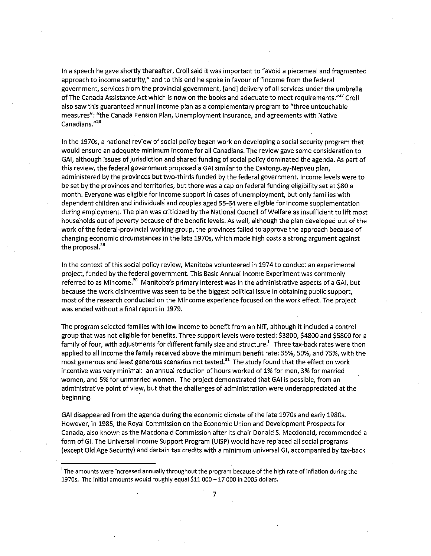In a speech he gave shortly thereafter, Croll said it was important to "avoid a piecemeal and fragmented approach to income security," and to this end he spoke in favour of "income from the federal government, services from the provincial government, [and] delivery of all services under the umbrella of The Canada Assistance Act which is now on the books and adequate to meet requirements."<sup>27</sup> Croll also saw this guaranteed annual income plan as a complementary program to "three untouchable measures": "the Canada Pension Plan, Unemployment Insurance, and agreements with Native **Canadians."<sup>28</sup>**

In the 1970s, a national review of social policy began work on developing a social security program that would ensure an adequate minimum income for all Canadians. The review gave some consideration to GAl, although issues of jurisdiction and shared funding of social policy dominated the agenda. As part of this review, the federal government proposed a GAl similar to the Castonguay-Nepveu plan, administered by the provinces but two-thirds funded by the federal government. Income levels were to be set by the provinces and territories, but there was a cap on federal funding eligibility set at \$80 a month. Everyone was eligible for income support in cases of unemployment, but only families with dependent children and individuals' and couples aged 55-64 were eligible for income supplementation during employment. The plan was criticized by the National Council of Welfare as insufficient to lift most households out of poverty because of the benefit levels. As well, although the plan developed out of the work oft he federal-provincial working group, the provinces failed to approve the approach because of changing economic circumstances in the late 1970s, which made high costs a strong argument against the proposal. $^{29}$ 

In the context of this social policy review, Manitoba volunteered in 1974 to conduct an experimental project, funded by the federal government. This Basic Annual Income Experiment was commonly referred to as Mincome.<sup>30</sup> Manitoba's primary interest was in the administrative aspects of a GAI, but because the work disincentive was seen to be the biggest political issue in obtaining public support, most of the research conducted on the Mincome experience focused on the work effect. The project was ended without a final report in 1979.

The program selected families with low income to benefit from an NIT, although it included a control group that was not eligible for benefits. Three support levels were tested: \$3800, \$4800 and \$5800 for a family of four, with adjustments for different family size and structure.' Three tax-back rates were then applied to all income the family received above the minimum benefit rate: 35%, 50%, and 75%, with the most generous and least generous scenarios not tested.<sup>31</sup> The study found that the effect on work incentive was very minimal: an annual reduction of hours worked of 1% for men, 3% for married women, and 5% for unmarried women. The project demonstrated that GAl is possible, from an administrative point of view, but that the challenges of administration were underappreciated at the beginning.

GAl disappeared from the agenda during the economic climate of the late 1970s and early 1980s. However, in 1985, the Royal Commission on the Economic Union and Development Prospects for Canada, also known as the Macdonald Commission after its chair Donald S. Macdonald, recommended a form of Gl. The Universal Income Support Program (UISP) would have replaced all social programs (except Old Age Security) and certain tax credits with a minimum universal Gl, accompanied by tax-back

**i The amounts were increased annually throughout the program because of the high rate of inflation during the**  1970s. The initial amounts would roughly equal \$11000-17 000 in 2005 dollars.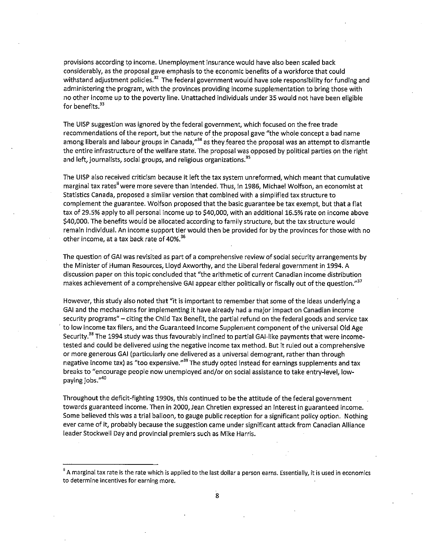provisions according to income. Unemployment insurance would have also been scaled back considerably, as the proposal gave emphasis to the economic benefits of a workforce that could withstand adjustment policies.<sup>32</sup> The federal government would have sole responsibility for funding and administering the program, with the provinces providing income supplementation to bring those with no other income up to the poverty line. Unattached individuals under 35 would not have been eligible for benefits. $33$ 

The UISP suggestion was ignored by the federal government, which focused on the free trade recommendations of the report, but the nature of the proposal gave "the whole concept a bad name among liberals and labour groups in Canada,"<sup>34</sup> as they feared the proposal was an attempt to dismantle the entire infrastructure of the welfare state. The proposal was opposed by political parties on the right and left, journalists, social groups, and religious organizations.<sup>35</sup>

The UISP also received criticism because it left the tax system unreformed, which meant that cumulative marginal tax rates" were more severe than intended. Thus, in 1986, Michael Wolfson, an economist at Statistics Canada, proposed a similar version that combined with a simplified tax structure to complement the guarantee. Wolfson proposed that the basic guarantee be tax exempt, but that a flat tax of 29.5% apply to all personal income up to \$40,000, with an additional 16.5% rate on income above \$40,000. The benefits would be allocated according to family structure, but the tax structure would remain individual. An income support tier would then be provided for by the provinces for those with no other income, at a tax back rate of 40%.<sup>36</sup>

The question of GAl was revisited as part of a comprehensive review of social security arrangements by the Minister of Human Resources, Lloyd Axworthy, and the Liberal federal government in 1994. A discussion paper on this topic concluded that "the arithmetic of current Canadian income distribution makes achievement of a comprehensive GAI appear either politically or fiscally out of the question."<sup>37</sup>

However, this study also noted that "it is important to remember that some of the ideas underlying a GAl and the mechanisms for implementing it have already had a major impact on Canadian income security programs" - citing the Child Tax Benefit, the partial refund on the federal goods and service tax to low income tax filers, and the Guaranteed Income Supplement component of the universal Old Age Security.<sup>38</sup> The 1994 study was thus favourably inclined to partial GAI-like payments that were incometested and could be delivered using the negative income tax method. But it ruled out a comprehensive or more generous GAl (particularly one delivered as a universal demogrant, rather than through negative income tax) as "too expensive."<sup>39</sup> The study opted instead for earnings supplements and tax breaks to "encourage people now unemployed and/or on social assistance to take entry-level, low**paying jobs."<sup>40</sup>**

Throughout the deficit-fighting 1990s, this continued to be the attitude of the federal government towards guaranteed income. Then in 2000, Jean Chretien expressed an interest in guaranteed income. Some believed this was a trial balloon, to gauge public reception for a significant policy option. Nothing ever came of it, probably because the suggestion came under significant attack from Canadian Alliance leader Stockwell Day and provincial premiers such as Mike Harris.

<sup>&</sup>lt;sup>ii</sup> A marginal tax rate is the rate which is applied to the last dollar a person earns. Essentially, it is used in economics to determine incentives for earning more.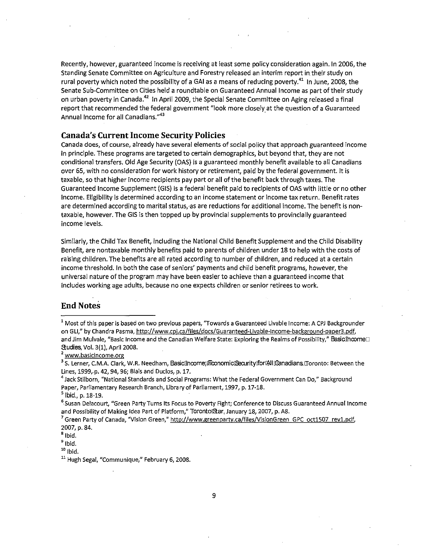Recently, however, guaranteed income is receiving at least some policy consideration again. In 2006, the Standing Senate Committee on Agriculture and Forestry released an interim report in their study on rural poverty which noted the possibility of a GAI as a means of reducing poverty.<sup>41</sup> In June, 2008, the Senate Sub-Committee on Cities held a roundtable on Guaranteed Annual Income as part of their study on urban poverty in Canada.<sup>42</sup> In April 2009, the Special Senate Committee on Aging released a final report that recommended the federal government "look more closely at the question of a Guaranteed Annual Income for all Canadians."<sup>43</sup>

# **Canada's Current Income Security Policies**

Canada does, of course, already have several elements of social policy that approach guaranteed income in principle. These programs are targeted to certain demographics, but beyond that, they are not conditional transfers. Old Age Security (OAS) is a guaranteed monthly benefit available to all Canadians over 65, with no consideration for work history or retirement, paid by the federal government. It is taxable, so that higher income recipients pay part or all ofthe benefit back through taxes. The Guaranteed Income Supplement (GIS) is a federal benefit paid to recipients of OAS with little or no other income. Eligibility is determined according to an income statement or income tax return. Benefit rates are determined according to marital status,·as are reductions for additional income. The benefit is nontaxable, however. The GIS is then topped up by provincial supplements to provincially guaranteed income levels.

Similarly, the Child Tax Benefit, including the National Child Benefit Supplement and the Child Disability Benefit, are nontaxable monthly benefits paid to parents of children under 18 to help with the costs of raising children. The benefits are all rated according to number of children, and reduced at a certain income threshold. In both the case of seniors' payments and child benefit programs, however, the universal nature of the program may have been easier to achieve than a guaranteed income that includes working age adults, because no one expects children or senior retirees to work.

# **End Notes**

<sup>2</sup>**www.basicincome.org** 

<sup>3</sup> S. Lerner, C.M.A. Clark, W.R. Needham, BasicIlncome;IEconomiciSecuritylforIAllICanadians.IIoronto: Between the **Lines, 1999,.p. 42, 94, 96; Blais and Duclos, p.17.** 

 $^4$  Jack Stilborn, "National Standards and Social Programs: What the Federal Government Can Do," Background **Paper, Parliamentary Research Branch, Library of Parliament, 1997, p. 17-18.** 

 $<sup>5</sup>$  lbid., p. 18-19.</sup>

<sup>7</sup>**Green Party of Canada, ''Vision Green," http://www.greenparty.ca/files/VisionGreen GPC oct1507 revl.pdf.**  2007, p. 84.

<sup>8</sup>Ibid.

<sup>9</sup>Ibid.

 $10$  Ibid.

<sup>11</sup>**Hugh Segal, "Communique," February 6, 2008.** 

<sup>1</sup>**Most of this paper is based on two previous papers, "Towards a Guaranteed Livable Income: A CPJ Backgrounder**  on GLI," by Chandra Pasma, http://www.cpj.ca/files/docs/Guaranteed-Livable-Income-background-paper3.pdf, and Jim Mulvale, "Basic Income and the Canadian Welfare State: Exploring the Realms of Possibility," Basiclincome Studies, Vol. 3(1), April 2008.

**<sup>&</sup>lt;sup>6</sup> Susan Delacourt, "Green Party Turns Its Focus to Poverty Fight; Conference to Discuss Guaranteed Annual Income** and Possibility of Making Idea Part of Platform," TorontolStar, January 18, 2007, p. A8.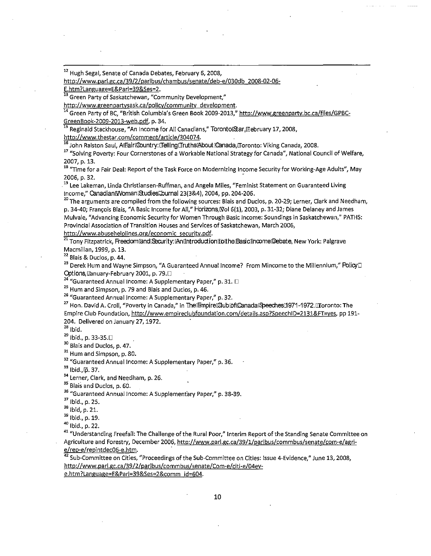<sup>12</sup> Hugh Segal, Senate of Canada Debates, February 6, 2008,

http://www.parl.gc.ca/39/2/parlbus/chambus/senate/deb-e/030db 2008-02-06-

E.htm?Language=E&Par1=39&Ses=2.

13 Green Party of Saskatchewan, "Community Development,"

**http://www.greenpartysask.ca/policy/community development.** 

Green Party of BC, "British Columbia's Green Book 2009-2013," http://www.greenparty.bc.ca/files/GPBC-GreenBook-2009-2013-web.pdf, p. 34.

<sup>15</sup>**Reginald Stackhouse, ''An Income for All Canadians," Toronto[Sar,rnebruary 17,2008,** 

http://www.thestar.com/comment/article/304074.

16 John Ralston Saul, Alffairi@ountry: ITelling Truths About @anada, Toronto: Viking Canada, 2008.

<sup>17</sup> "Solving Poverty: Four Cornerstones of a Workable National Strategy for Canada", National Council of Welfare, 2007, p. 13.

<sup>18</sup>**"Time for a Fair Deal: Report of the Task Force on Modernizing Income Security for Working-Age Adults", May**  2006, p. 32.

<sup>19</sup>**Lee Lakeman, Linda Christiansen-Ruffman, and Angela Miles, "Feminist Statement on Guaranteed living**  Income," Canadianl/WomanlStudiesiDurnal 23(3&4), 2004, pp. 204-206.

<sup>20</sup> The arguments are compiled from the following sources: Blais and Duclos, p. 20-29; Lerner, Clark and Needham, p. 34-40; François Blais, "A Basic Income for All," Horizons, [Vol 6(1), 2003, p. 31-32; Diane Delaney and James **Mulvale, 11Advancing Economic Security for Women Through Basic Income: Soundings in Saskatchewan," PATHS: Provincial Association of Transition Houses and Services of Saskatchewan, March 2006,** 

http://www.abusehelplines.org/economic security.pdf.

<sup>21</sup>Tony Fitzpatrick, FreedomlandlSecurity: [Anllhtroduction|toithe [Basic1]ncome [Debate, New York: Palgrave Macmillan, 1999, p. 13.

*<sup>22</sup>***Blais & Duclos, p. 44.** 

<sup>23</sup>**Derek Hum and Wayne Simpson,** *11A* **Guaranteed Annual Income? From Mincome to the Millennium/' FblicyD**  Options, ∏anuary-February 2001, p. 79.□

*<sup>24</sup>***"Guaranteed Annual Income: A Supplementary Paper," p. 31.** D

*<sup>25</sup>***Hum and Simpson, p. 79 and Blais and Duclos, p. 46.** 

*<sup>26</sup>***"Guaranteed Annual Income: A Supplementary Paper/' p. 32.** 

<sup>27</sup> Hon. David A. Croll, "Poverty in Canada," in ThelEmpirel Qublofl CanadalSpeeches 1971-1972. Il Toronto: The Empire Club Foundation, http://www.empireclubfoundation.com/details.asp?SpeechID=2131&FT=yes, pp 191-204. Delivered on January 27, 1972.

 $28$  lbid.

 $^{29}$  Ibid., p. 33-35.0

<sup>30</sup> Blais and Duclos, p. 47.

<sup>31</sup> Hum and Simpson, p. 80.

<sup>32</sup>**"Guaranteed Annual Income: A Supplementary Paper," p. 36.** 

 $33$  lbid.,  $\overline{p}$ . 37.

<sup>34</sup>**Lerner, Clark, and Needham, p. 26.** 

<sup>35</sup> Blais and Duclos, p. 60.

<sup>36</sup>**"Guaranteed Annual Income: A Supplementary Paper," p. 38-39.** 

<sup>37</sup> Ibid., p. 25.

<sup>38</sup> 1bid, p. 21.

<sup>39</sup> Ibid., p. 19.

40 Ibid., p. 22.

<sup>41</sup> "Understanding Freefall: The Challenge of the Rural Poor," Interim Report of the Standing Senate Committee on Agriculture and Forestry, December 2006, http://www.parl.gc.ca/39/1/parlbus/commbus/senate/com-e/agri-<u>e/rep-e/repintdec06-e.htm</u>.

<sup>42</sup> Sub-Committee on Cities, "Proceedings of the Sub-Committee on Cities: Issue 4-Evidence," June 13, 2008, http://www.parl.gc.ca/39/2/parlbus/commbus/senate/Com-e/citi-e/04eve.htm?Language=E&Pari=39&Ses=2&comm id-604.